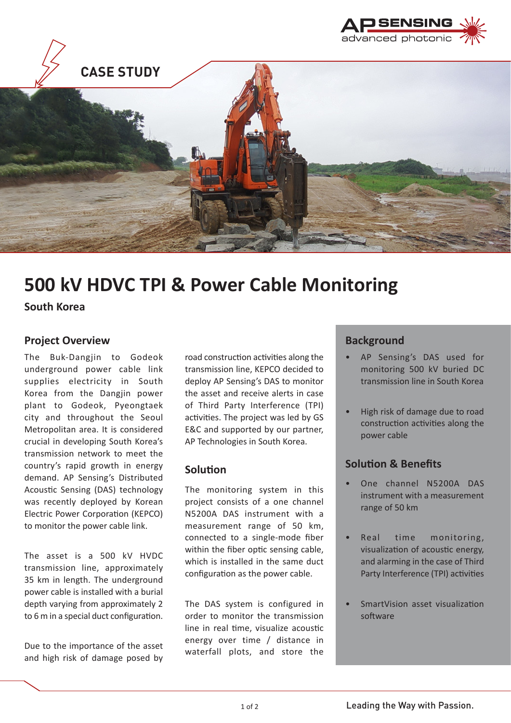



# **500 kV HDVC TPI & Power Cable Monitoring**

**South Korea**

### **Project Overview**

The Buk-Dangjin to Godeok underground power cable link supplies electricity in South Korea from the Dangjin power plant to Godeok, Pyeongtaek city and throughout the Seoul Metropolitan area. It is considered crucial in developing South Korea's transmission network to meet the country's rapid growth in energy demand. AP Sensing's Distributed Acoustic Sensing (DAS) technology was recently deployed by Korean Electric Power Corporation (KEPCO) to monitor the power cable link.

The asset is a 500 kV HVDC transmission line, approximately 35 km in length. The underground power cable is installed with a burial depth varying from approximately 2 to 6 m in a special duct configuration.

Due to the importance of the asset and high risk of damage posed by

road construction activities along the transmission line, KEPCO decided to deploy AP Sensing's DAS to monitor the asset and receive alerts in case of Third Party Interference (TPI) activities. The project was led by GS E&C and supported by our partner, AP Technologies in South Korea.

#### **Solution**

The monitoring system in this project consists of a one channel N5200A DAS instrument with a measurement range of 50 km, connected to a single-mode fiber within the fiber optic sensing cable, which is installed in the same duct configuration as the power cable.

The DAS system is configured in order to monitor the transmission line in real time, visualize acoustic energy over time / distance in waterfall plots, and store the

### **Background**

- AP Sensing's DAS used for monitoring 500 kV buried DC transmission line in South Korea
- High risk of damage due to road construction activities along the power cable

## **Solution & Benefits**

- One channel N5200A DAS instrument with a measurement range of 50 km
- Real time monitoring, visualization of acoustic energy, and alarming in the case of Third Party Interference (TPI) activities
- SmartVision asset visualization software